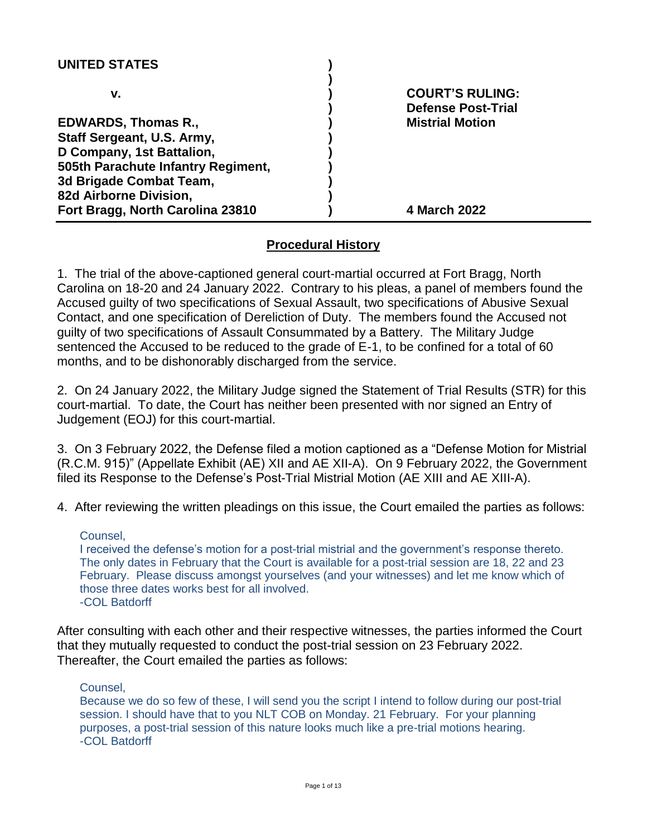| <b>UNITED STATES</b>               |                           |
|------------------------------------|---------------------------|
| v.                                 | <b>COURT'S RULING:</b>    |
|                                    | <b>Defense Post-Trial</b> |
| <b>EDWARDS, Thomas R.,</b>         | <b>Mistrial Motion</b>    |
| Staff Sergeant, U.S. Army,         |                           |
| D Company, 1st Battalion,          |                           |
| 505th Parachute Infantry Regiment, |                           |
| 3d Brigade Combat Team,            |                           |
| 82d Airborne Division,             |                           |
| Fort Bragg, North Carolina 23810   | 4 March 2022              |

### **Procedural History**

1. The trial of the above-captioned general court-martial occurred at Fort Bragg, North Carolina on 18-20 and 24 January 2022. Contrary to his pleas, a panel of members found the Accused guilty of two specifications of Sexual Assault, two specifications of Abusive Sexual Contact, and one specification of Dereliction of Duty. The members found the Accused not guilty of two specifications of Assault Consummated by a Battery. The Military Judge sentenced the Accused to be reduced to the grade of E-1, to be confined for a total of 60 months, and to be dishonorably discharged from the service.

2. On 24 January 2022, the Military Judge signed the Statement of Trial Results (STR) for this court-martial. To date, the Court has neither been presented with nor signed an Entry of Judgement (EOJ) for this court-martial.

3. On 3 February 2022, the Defense filed a motion captioned as a "Defense Motion for Mistrial (R.C.M. 915)" (Appellate Exhibit (AE) XII and AE XII-A). On 9 February 2022, the Government filed its Response to the Defense's Post-Trial Mistrial Motion (AE XIII and AE XIII-A).

4. After reviewing the written pleadings on this issue, the Court emailed the parties as follows:

#### Counsel,

I received the defense's motion for a post-trial mistrial and the government's response thereto. The only dates in February that the Court is available for a post-trial session are 18, 22 and 23 February. Please discuss amongst yourselves (and your witnesses) and let me know which of those three dates works best for all involved. -COL Batdorff

After consulting with each other and their respective witnesses, the parties informed the Court that they mutually requested to conduct the post-trial session on 23 February 2022. Thereafter, the Court emailed the parties as follows:

#### Counsel,

Because we do so few of these, I will send you the script I intend to follow during our post-trial session. I should have that to you NLT COB on Monday. 21 February. For your planning purposes, a post-trial session of this nature looks much like a pre-trial motions hearing. -COL Batdorff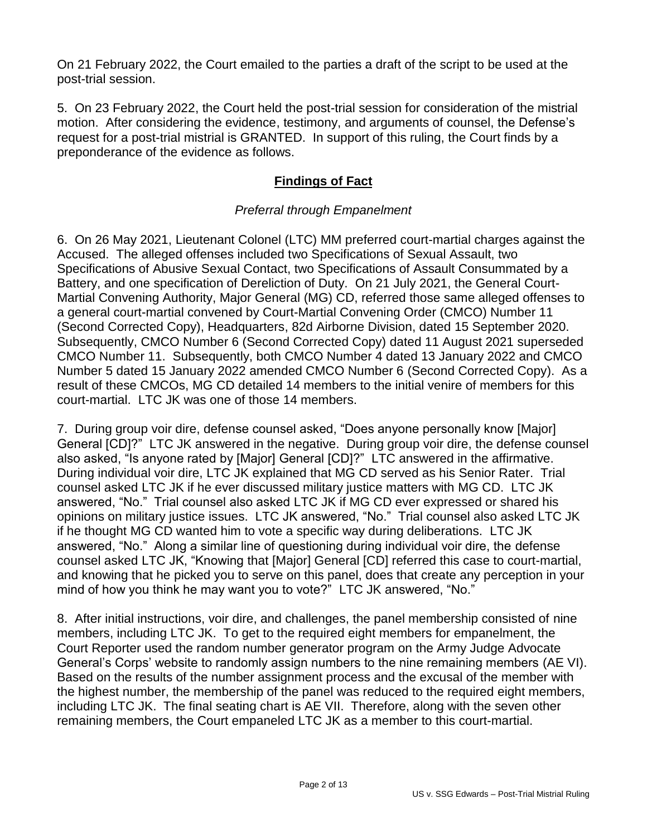On 21 February 2022, the Court emailed to the parties a draft of the script to be used at the post-trial session.

5. On 23 February 2022, the Court held the post-trial session for consideration of the mistrial motion. After considering the evidence, testimony, and arguments of counsel, the Defense's request for a post-trial mistrial is GRANTED. In support of this ruling, the Court finds by a preponderance of the evidence as follows.

# **Findings of Fact**

### *Preferral through Empanelment*

6. On 26 May 2021, Lieutenant Colonel (LTC) MM preferred court-martial charges against the Accused. The alleged offenses included two Specifications of Sexual Assault, two Specifications of Abusive Sexual Contact, two Specifications of Assault Consummated by a Battery, and one specification of Dereliction of Duty. On 21 July 2021, the General Court-Martial Convening Authority, Major General (MG) CD, referred those same alleged offenses to a general court-martial convened by Court-Martial Convening Order (CMCO) Number 11 (Second Corrected Copy), Headquarters, 82d Airborne Division, dated 15 September 2020. Subsequently, CMCO Number 6 (Second Corrected Copy) dated 11 August 2021 superseded CMCO Number 11. Subsequently, both CMCO Number 4 dated 13 January 2022 and CMCO Number 5 dated 15 January 2022 amended CMCO Number 6 (Second Corrected Copy). As a result of these CMCOs, MG CD detailed 14 members to the initial venire of members for this court-martial. LTC JK was one of those 14 members.

7. During group voir dire, defense counsel asked, "Does anyone personally know [Major] General [CD]?" LTC JK answered in the negative. During group voir dire, the defense counsel also asked, "Is anyone rated by [Major] General [CD]?" LTC answered in the affirmative. During individual voir dire, LTC JK explained that MG CD served as his Senior Rater. Trial counsel asked LTC JK if he ever discussed military justice matters with MG CD. LTC JK answered, "No." Trial counsel also asked LTC JK if MG CD ever expressed or shared his opinions on military justice issues. LTC JK answered, "No." Trial counsel also asked LTC JK if he thought MG CD wanted him to vote a specific way during deliberations. LTC JK answered, "No." Along a similar line of questioning during individual voir dire, the defense counsel asked LTC JK, "Knowing that [Major] General [CD] referred this case to court-martial, and knowing that he picked you to serve on this panel, does that create any perception in your mind of how you think he may want you to vote?" LTC JK answered, "No."

8. After initial instructions, voir dire, and challenges, the panel membership consisted of nine members, including LTC JK. To get to the required eight members for empanelment, the Court Reporter used the random number generator program on the Army Judge Advocate General's Corps' website to randomly assign numbers to the nine remaining members (AE VI). Based on the results of the number assignment process and the excusal of the member with the highest number, the membership of the panel was reduced to the required eight members, including LTC JK. The final seating chart is AE VII. Therefore, along with the seven other remaining members, the Court empaneled LTC JK as a member to this court-martial.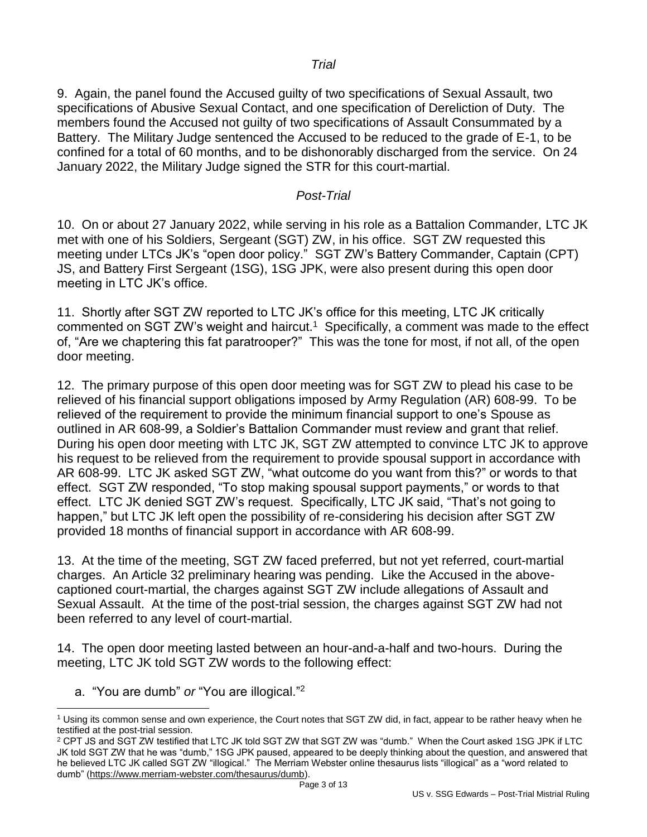#### *Trial*

9. Again, the panel found the Accused guilty of two specifications of Sexual Assault, two specifications of Abusive Sexual Contact, and one specification of Dereliction of Duty. The members found the Accused not guilty of two specifications of Assault Consummated by a Battery. The Military Judge sentenced the Accused to be reduced to the grade of E-1, to be confined for a total of 60 months, and to be dishonorably discharged from the service. On 24 January 2022, the Military Judge signed the STR for this court-martial.

#### *Post-Trial*

10. On or about 27 January 2022, while serving in his role as a Battalion Commander, LTC JK met with one of his Soldiers, Sergeant (SGT) ZW, in his office. SGT ZW requested this meeting under LTCs JK's "open door policy." SGT ZW's Battery Commander, Captain (CPT) JS, and Battery First Sergeant (1SG), 1SG JPK, were also present during this open door meeting in LTC JK's office.

11. Shortly after SGT ZW reported to LTC JK's office for this meeting, LTC JK critically commented on SGT ZW's weight and haircut.<sup>1</sup> Specifically, a comment was made to the effect of, "Are we chaptering this fat paratrooper?" This was the tone for most, if not all, of the open door meeting.

12. The primary purpose of this open door meeting was for SGT ZW to plead his case to be relieved of his financial support obligations imposed by Army Regulation (AR) 608-99. To be relieved of the requirement to provide the minimum financial support to one's Spouse as outlined in AR 608-99, a Soldier's Battalion Commander must review and grant that relief. During his open door meeting with LTC JK, SGT ZW attempted to convince LTC JK to approve his request to be relieved from the requirement to provide spousal support in accordance with AR 608-99. LTC JK asked SGT ZW, "what outcome do you want from this?" or words to that effect. SGT ZW responded, "To stop making spousal support payments," or words to that effect. LTC JK denied SGT ZW's request. Specifically, LTC JK said, "That's not going to happen," but LTC JK left open the possibility of re-considering his decision after SGT ZW provided 18 months of financial support in accordance with AR 608-99.

13. At the time of the meeting, SGT ZW faced preferred, but not yet referred, court-martial charges. An Article 32 preliminary hearing was pending. Like the Accused in the abovecaptioned court-martial, the charges against SGT ZW include allegations of Assault and Sexual Assault. At the time of the post-trial session, the charges against SGT ZW had not been referred to any level of court-martial.

14. The open door meeting lasted between an hour-and-a-half and two-hours. During the meeting, LTC JK told SGT ZW words to the following effect:

a. "You are dumb" *or* "You are illogical." 2

 $\overline{a}$ 

<sup>2</sup> CPT JS and SGT ZW testified that LTC JK told SGT ZW that SGT ZW was "dumb." When the Court asked 1SG JPK if LTC JK told SGT ZW that he was "dumb," 1SG JPK paused, appeared to be deeply thinking about the question, and answered that he believed LTC JK called SGT ZW "illogical." The Merriam Webster online thesaurus lists "illogical" as a "word related to dumb" (https://www.merriam-webster.com/thesaurus/dumb).

<sup>1</sup> Using its common sense and own experience, the Court notes that SGT ZW did, in fact, appear to be rather heavy when he testified at the post-trial session.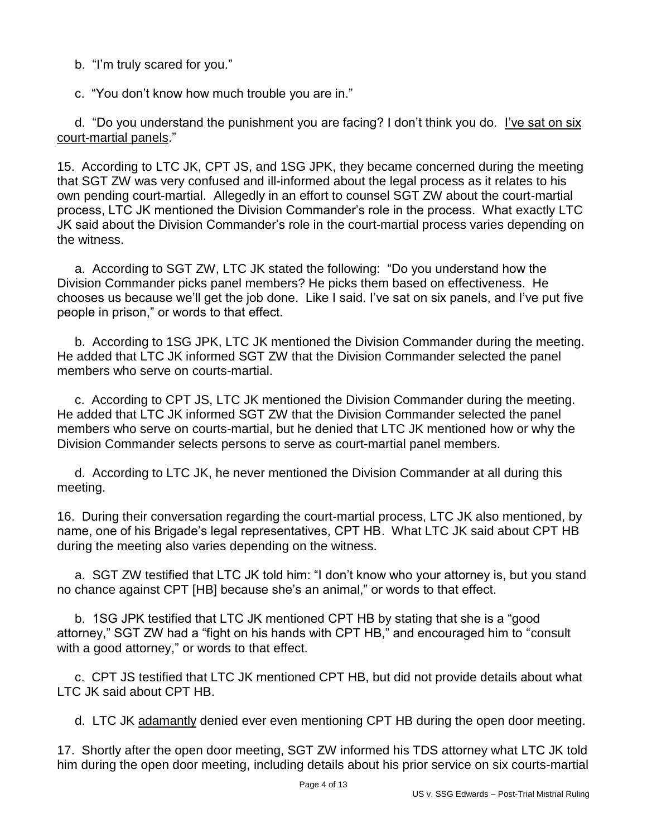b. "I'm truly scared for you."

c. "You don't know how much trouble you are in."

 d. "Do you understand the punishment you are facing? I don't think you do. I've sat on six court-martial panels."

15. According to LTC JK, CPT JS, and 1SG JPK, they became concerned during the meeting that SGT ZW was very confused and ill-informed about the legal process as it relates to his own pending court-martial. Allegedly in an effort to counsel SGT ZW about the court-martial process, LTC JK mentioned the Division Commander's role in the process. What exactly LTC JK said about the Division Commander's role in the court-martial process varies depending on the witness.

 a. According to SGT ZW, LTC JK stated the following: "Do you understand how the Division Commander picks panel members? He picks them based on effectiveness. He chooses us because we'll get the job done. Like I said. I've sat on six panels, and I've put five people in prison," or words to that effect.

 b. According to 1SG JPK, LTC JK mentioned the Division Commander during the meeting. He added that LTC JK informed SGT ZW that the Division Commander selected the panel members who serve on courts-martial.

 c. According to CPT JS, LTC JK mentioned the Division Commander during the meeting. He added that LTC JK informed SGT ZW that the Division Commander selected the panel members who serve on courts-martial, but he denied that LTC JK mentioned how or why the Division Commander selects persons to serve as court-martial panel members.

 d. According to LTC JK, he never mentioned the Division Commander at all during this meeting.

16. During their conversation regarding the court-martial process, LTC JK also mentioned, by name, one of his Brigade's legal representatives, CPT HB. What LTC JK said about CPT HB during the meeting also varies depending on the witness.

 a. SGT ZW testified that LTC JK told him: "I don't know who your attorney is, but you stand no chance against CPT [HB] because she's an animal," or words to that effect.

 b. 1SG JPK testified that LTC JK mentioned CPT HB by stating that she is a "good attorney," SGT ZW had a "fight on his hands with CPT HB," and encouraged him to "consult with a good attorney," or words to that effect.

 c. CPT JS testified that LTC JK mentioned CPT HB, but did not provide details about what LTC JK said about CPT HB.

d. LTC JK adamantly denied ever even mentioning CPT HB during the open door meeting.

17. Shortly after the open door meeting, SGT ZW informed his TDS attorney what LTC JK told him during the open door meeting, including details about his prior service on six courts-martial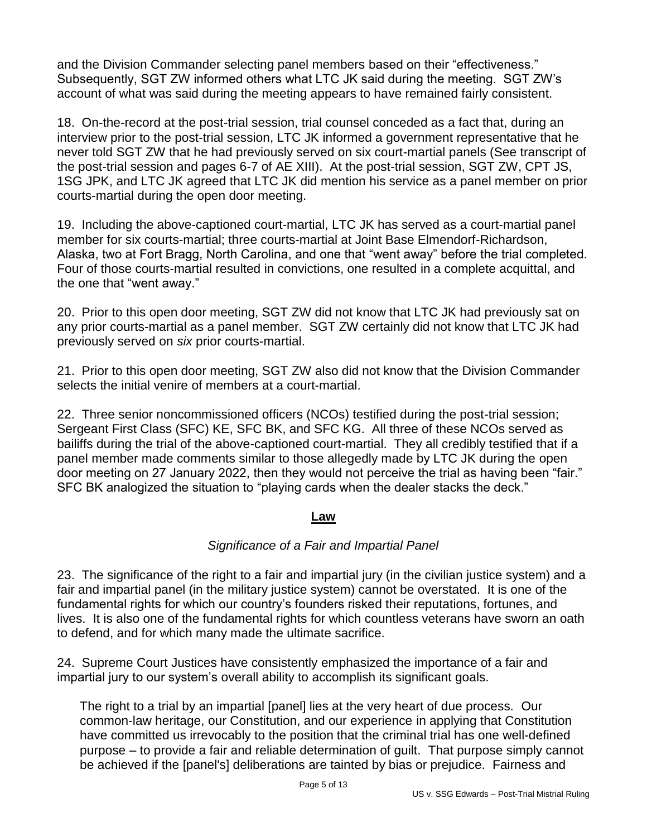and the Division Commander selecting panel members based on their "effectiveness." Subsequently, SGT ZW informed others what LTC JK said during the meeting. SGT ZW's account of what was said during the meeting appears to have remained fairly consistent.

18. On-the-record at the post-trial session, trial counsel conceded as a fact that, during an interview prior to the post-trial session, LTC JK informed a government representative that he never told SGT ZW that he had previously served on six court-martial panels (See transcript of the post-trial session and pages 6-7 of AE XIII). At the post-trial session, SGT ZW, CPT JS, 1SG JPK, and LTC JK agreed that LTC JK did mention his service as a panel member on prior courts-martial during the open door meeting.

19. Including the above-captioned court-martial, LTC JK has served as a court-martial panel member for six courts-martial; three courts-martial at Joint Base Elmendorf-Richardson, Alaska, two at Fort Bragg, North Carolina, and one that "went away" before the trial completed. Four of those courts-martial resulted in convictions, one resulted in a complete acquittal, and the one that "went away."

20. Prior to this open door meeting, SGT ZW did not know that LTC JK had previously sat on any prior courts-martial as a panel member. SGT ZW certainly did not know that LTC JK had previously served on *six* prior courts-martial.

21. Prior to this open door meeting, SGT ZW also did not know that the Division Commander selects the initial venire of members at a court-martial.

22. Three senior noncommissioned officers (NCOs) testified during the post-trial session; Sergeant First Class (SFC) KE, SFC BK, and SFC KG. All three of these NCOs served as bailiffs during the trial of the above-captioned court-martial. They all credibly testified that if a panel member made comments similar to those allegedly made by LTC JK during the open door meeting on 27 January 2022, then they would not perceive the trial as having been "fair." SFC BK analogized the situation to "playing cards when the dealer stacks the deck."

## **Law**

# *Significance of a Fair and Impartial Panel*

23. The significance of the right to a fair and impartial jury (in the civilian justice system) and a fair and impartial panel (in the military justice system) cannot be overstated. It is one of the fundamental rights for which our country's founders risked their reputations, fortunes, and lives. It is also one of the fundamental rights for which countless veterans have sworn an oath to defend, and for which many made the ultimate sacrifice.

24. Supreme Court Justices have consistently emphasized the importance of a fair and impartial jury to our system's overall ability to accomplish its significant goals.

The right to a trial by an impartial [panel] lies at the very heart of due process. Our common-law heritage, our Constitution, and our experience in applying that Constitution have committed us irrevocably to the position that the criminal trial has one well-defined purpose – to provide a fair and reliable determination of guilt. That purpose simply cannot be achieved if the [panel's] deliberations are tainted by bias or prejudice. Fairness and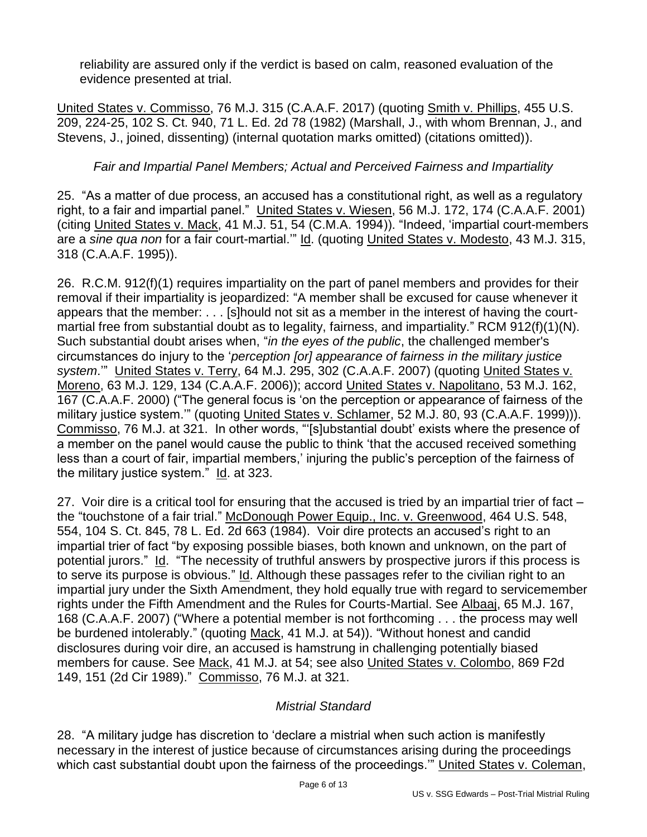reliability are assured only if the verdict is based on calm, reasoned evaluation of the evidence presented at trial.

United States v. Commisso, 76 M.J. 315 (C.A.A.F. 2017) (quoting Smith v. Phillips, 455 U.S. 209, 224-25, 102 S. Ct. 940, 71 L. Ed. 2d 78 (1982) (Marshall, J., with whom Brennan, J., and Stevens, J., joined, dissenting) (internal quotation marks omitted) (citations omitted)).

# *Fair and Impartial Panel Members; Actual and Perceived Fairness and Impartiality*

25. "As a matter of due process, an accused has a constitutional right, as well as a regulatory right, to a fair and impartial panel." United States v. Wiesen, 56 M.J. 172, 174 (C.A.A.F. 2001) (citing United States v. Mack, 41 M.J. 51, 54 (C.M.A. 1994)). "Indeed, 'impartial court-members are a *sine qua non* for a fair court-martial.'" Id. (quoting United States v. Modesto, 43 M.J. 315, 318 (C.A.A.F. 1995)).

26. R.C.M. 912(f)(1) requires impartiality on the part of panel members and provides for their removal if their impartiality is jeopardized: "A member shall be excused for cause whenever it appears that the member: . . . [s]hould not sit as a member in the interest of having the courtmartial free from substantial doubt as to legality, fairness, and impartiality." RCM 912(f)(1)(N). Such substantial doubt arises when, "*in the eyes of the public*, the challenged member's circumstances do injury to the '*perception [or] appearance of fairness in the military justice system*.'" United States v. Terry, 64 M.J. 295, 302 (C.A.A.F. 2007) (quoting United States v. Moreno, 63 M.J. 129, 134 (C.A.A.F. 2006)); accord United States v. Napolitano, 53 M.J. 162, 167 (C.A.A.F. 2000) ("The general focus is 'on the perception or appearance of fairness of the military justice system.'" (quoting United States v. Schlamer, 52 M.J. 80, 93 (C.A.A.F. 1999))). Commisso, 76 M.J. at 321. In other words, "'[s]ubstantial doubt' exists where the presence of a member on the panel would cause the public to think 'that the accused received something less than a court of fair, impartial members,' injuring the public's perception of the fairness of the military justice system." Id. at 323.

27. Voir dire is a critical tool for ensuring that the accused is tried by an impartial trier of fact – the "touchstone of a fair trial." McDonough Power Equip., Inc. v. Greenwood, 464 U.S. 548, 554, 104 S. Ct. 845, 78 L. Ed. 2d 663 (1984). Voir dire protects an accused's right to an impartial trier of fact "by exposing possible biases, both known and unknown, on the part of potential jurors." Id. "The necessity of truthful answers by prospective jurors if this process is to serve its purpose is obvious." Id. Although these passages refer to the civilian right to an impartial jury under the Sixth Amendment, they hold equally true with regard to servicemember rights under the Fifth Amendment and the Rules for Courts-Martial. See Albaaj, 65 M.J. 167, 168 (C.A.A.F. 2007) ("Where a potential member is not forthcoming . . . the process may well be burdened intolerably." (quoting Mack, 41 M.J. at 54)). "Without honest and candid disclosures during voir dire, an accused is hamstrung in challenging potentially biased members for cause. See Mack, 41 M.J. at 54; see also United States v. Colombo, 869 F2d 149, 151 (2d Cir 1989)." Commisso, 76 M.J. at 321.

## *Mistrial Standard*

28. "A military judge has discretion to 'declare a mistrial when such action is manifestly necessary in the interest of justice because of circumstances arising during the proceedings which cast substantial doubt upon the fairness of the proceedings.'" United States v. Coleman,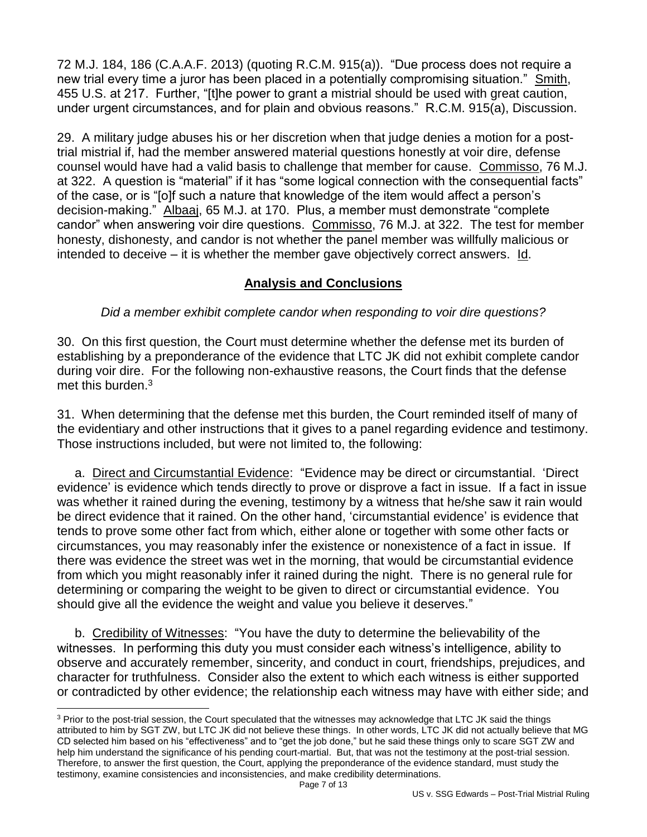72 M.J. 184, 186 (C.A.A.F. 2013) (quoting R.C.M. 915(a)). "Due process does not require a new trial every time a juror has been placed in a potentially compromising situation." Smith, 455 U.S. at 217. Further, "[t]he power to grant a mistrial should be used with great caution, under urgent circumstances, and for plain and obvious reasons." R.C.M. 915(a), Discussion.

29. A military judge abuses his or her discretion when that judge denies a motion for a posttrial mistrial if, had the member answered material questions honestly at voir dire, defense counsel would have had a valid basis to challenge that member for cause. Commisso, 76 M.J. at 322. A question is "material" if it has "some logical connection with the consequential facts" of the case, or is "[o]f such a nature that knowledge of the item would affect a person's decision-making." Albaaj, 65 M.J. at 170. Plus, a member must demonstrate "complete candor" when answering voir dire questions. Commisso, 76 M.J. at 322. The test for member honesty, dishonesty, and candor is not whether the panel member was willfully malicious or intended to deceive – it is whether the member gave objectively correct answers.  $\underline{Id}$ .

## **Analysis and Conclusions**

*Did a member exhibit complete candor when responding to voir dire questions?*

30. On this first question, the Court must determine whether the defense met its burden of establishing by a preponderance of the evidence that LTC JK did not exhibit complete candor during voir dire. For the following non-exhaustive reasons, the Court finds that the defense met this burden.<sup>3</sup>

31. When determining that the defense met this burden, the Court reminded itself of many of the evidentiary and other instructions that it gives to a panel regarding evidence and testimony. Those instructions included, but were not limited to, the following:

 a. Direct and Circumstantial Evidence: "Evidence may be direct or circumstantial. 'Direct evidence' is evidence which tends directly to prove or disprove a fact in issue. If a fact in issue was whether it rained during the evening, testimony by a witness that he/she saw it rain would be direct evidence that it rained. On the other hand, 'circumstantial evidence' is evidence that tends to prove some other fact from which, either alone or together with some other facts or circumstances, you may reasonably infer the existence or nonexistence of a fact in issue. If there was evidence the street was wet in the morning, that would be circumstantial evidence from which you might reasonably infer it rained during the night. There is no general rule for determining or comparing the weight to be given to direct or circumstantial evidence. You should give all the evidence the weight and value you believe it deserves."

 b. Credibility of Witnesses: "You have the duty to determine the believability of the witnesses. In performing this duty you must consider each witness's intelligence, ability to observe and accurately remember, sincerity, and conduct in court, friendships, prejudices, and character for truthfulness. Consider also the extent to which each witness is either supported or contradicted by other evidence; the relationship each witness may have with either side; and

 $\overline{a}$ 

<sup>&</sup>lt;sup>3</sup> Prior to the post-trial session, the Court speculated that the witnesses may acknowledge that LTC JK said the things attributed to him by SGT ZW, but LTC JK did not believe these things. In other words, LTC JK did not actually believe that MG CD selected him based on his "effectiveness" and to "get the job done," but he said these things only to scare SGT ZW and help him understand the significance of his pending court-martial. But, that was not the testimony at the post-trial session. Therefore, to answer the first question, the Court, applying the preponderance of the evidence standard, must study the testimony, examine consistencies and inconsistencies, and make credibility determinations.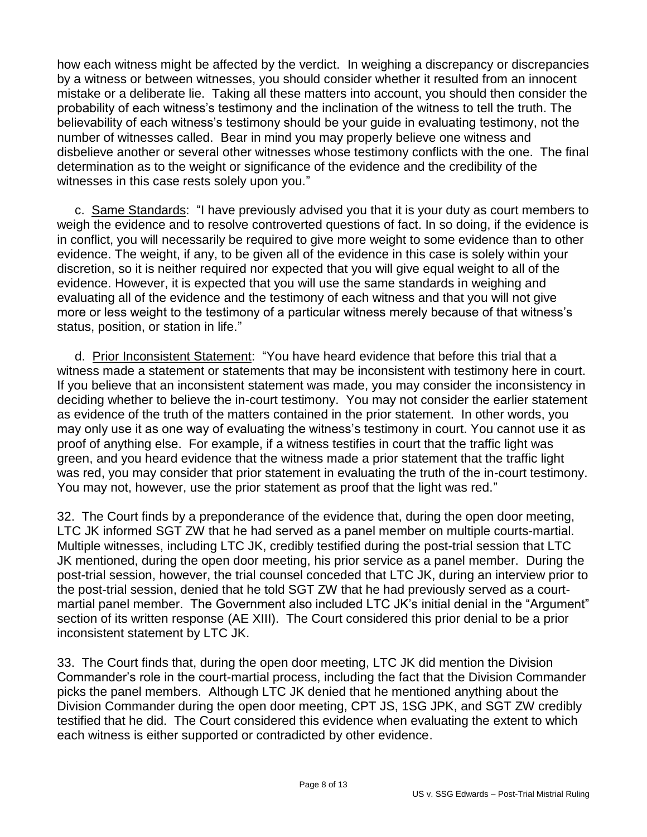how each witness might be affected by the verdict. In weighing a discrepancy or discrepancies by a witness or between witnesses, you should consider whether it resulted from an innocent mistake or a deliberate lie. Taking all these matters into account, you should then consider the probability of each witness's testimony and the inclination of the witness to tell the truth. The believability of each witness's testimony should be your guide in evaluating testimony, not the number of witnesses called. Bear in mind you may properly believe one witness and disbelieve another or several other witnesses whose testimony conflicts with the one. The final determination as to the weight or significance of the evidence and the credibility of the witnesses in this case rests solely upon you."

 c. Same Standards: "I have previously advised you that it is your duty as court members to weigh the evidence and to resolve controverted questions of fact. In so doing, if the evidence is in conflict, you will necessarily be required to give more weight to some evidence than to other evidence. The weight, if any, to be given all of the evidence in this case is solely within your discretion, so it is neither required nor expected that you will give equal weight to all of the evidence. However, it is expected that you will use the same standards in weighing and evaluating all of the evidence and the testimony of each witness and that you will not give more or less weight to the testimony of a particular witness merely because of that witness's status, position, or station in life."

d. Prior Inconsistent Statement: "You have heard evidence that before this trial that a witness made a statement or statements that may be inconsistent with testimony here in court. If you believe that an inconsistent statement was made, you may consider the inconsistency in deciding whether to believe the in-court testimony. You may not consider the earlier statement as evidence of the truth of the matters contained in the prior statement. In other words, you may only use it as one way of evaluating the witness's testimony in court. You cannot use it as proof of anything else. For example, if a witness testifies in court that the traffic light was green, and you heard evidence that the witness made a prior statement that the traffic light was red, you may consider that prior statement in evaluating the truth of the in-court testimony. You may not, however, use the prior statement as proof that the light was red."

32. The Court finds by a preponderance of the evidence that, during the open door meeting, LTC JK informed SGT ZW that he had served as a panel member on multiple courts-martial. Multiple witnesses, including LTC JK, credibly testified during the post-trial session that LTC JK mentioned, during the open door meeting, his prior service as a panel member. During the post-trial session, however, the trial counsel conceded that LTC JK, during an interview prior to the post-trial session, denied that he told SGT ZW that he had previously served as a courtmartial panel member. The Government also included LTC JK's initial denial in the "Argument" section of its written response (AE XIII). The Court considered this prior denial to be a prior inconsistent statement by LTC JK.

33. The Court finds that, during the open door meeting, LTC JK did mention the Division Commander's role in the court-martial process, including the fact that the Division Commander picks the panel members. Although LTC JK denied that he mentioned anything about the Division Commander during the open door meeting, CPT JS, 1SG JPK, and SGT ZW credibly testified that he did. The Court considered this evidence when evaluating the extent to which each witness is either supported or contradicted by other evidence.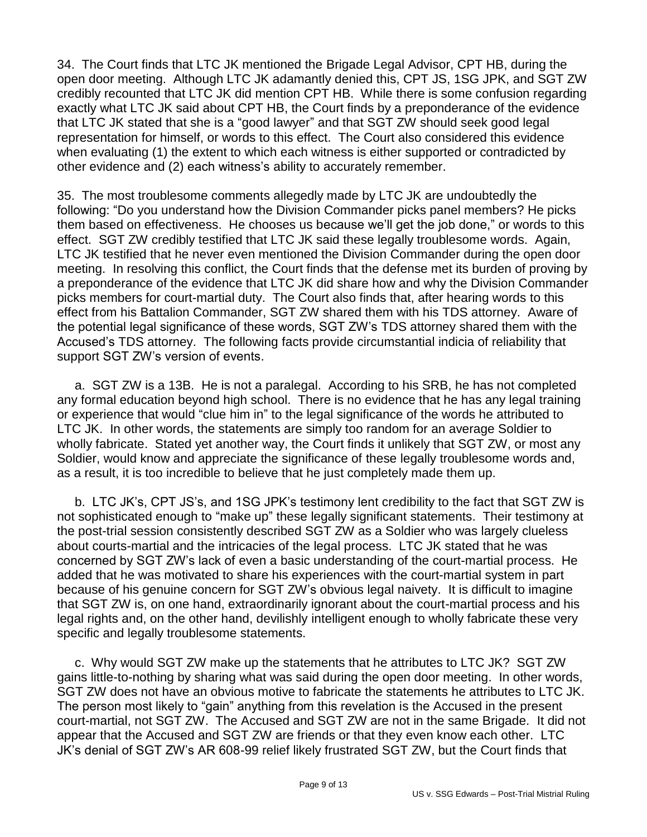34. The Court finds that LTC JK mentioned the Brigade Legal Advisor, CPT HB, during the open door meeting. Although LTC JK adamantly denied this, CPT JS, 1SG JPK, and SGT ZW credibly recounted that LTC JK did mention CPT HB. While there is some confusion regarding exactly what LTC JK said about CPT HB, the Court finds by a preponderance of the evidence that LTC JK stated that she is a "good lawyer" and that SGT ZW should seek good legal representation for himself, or words to this effect. The Court also considered this evidence when evaluating (1) the extent to which each witness is either supported or contradicted by other evidence and (2) each witness's ability to accurately remember.

35. The most troublesome comments allegedly made by LTC JK are undoubtedly the following: "Do you understand how the Division Commander picks panel members? He picks them based on effectiveness. He chooses us because we'll get the job done," or words to this effect. SGT ZW credibly testified that LTC JK said these legally troublesome words. Again, LTC JK testified that he never even mentioned the Division Commander during the open door meeting. In resolving this conflict, the Court finds that the defense met its burden of proving by a preponderance of the evidence that LTC JK did share how and why the Division Commander picks members for court-martial duty. The Court also finds that, after hearing words to this effect from his Battalion Commander, SGT ZW shared them with his TDS attorney. Aware of the potential legal significance of these words, SGT ZW's TDS attorney shared them with the Accused's TDS attorney. The following facts provide circumstantial indicia of reliability that support SGT ZW's version of events.

 a. SGT ZW is a 13B. He is not a paralegal. According to his SRB, he has not completed any formal education beyond high school. There is no evidence that he has any legal training or experience that would "clue him in" to the legal significance of the words he attributed to LTC JK. In other words, the statements are simply too random for an average Soldier to wholly fabricate. Stated yet another way, the Court finds it unlikely that SGT ZW, or most any Soldier, would know and appreciate the significance of these legally troublesome words and, as a result, it is too incredible to believe that he just completely made them up.

b. LTC JK's, CPT JS's, and 1SG JPK's testimony lent credibility to the fact that SGT ZW is not sophisticated enough to "make up" these legally significant statements. Their testimony at the post-trial session consistently described SGT ZW as a Soldier who was largely clueless about courts-martial and the intricacies of the legal process. LTC JK stated that he was concerned by SGT ZW's lack of even a basic understanding of the court-martial process. He added that he was motivated to share his experiences with the court-martial system in part because of his genuine concern for SGT ZW's obvious legal naivety. It is difficult to imagine that SGT ZW is, on one hand, extraordinarily ignorant about the court-martial process and his legal rights and, on the other hand, devilishly intelligent enough to wholly fabricate these very specific and legally troublesome statements.

 c. Why would SGT ZW make up the statements that he attributes to LTC JK? SGT ZW gains little-to-nothing by sharing what was said during the open door meeting. In other words, SGT ZW does not have an obvious motive to fabricate the statements he attributes to LTC JK. The person most likely to "gain" anything from this revelation is the Accused in the present court-martial, not SGT ZW. The Accused and SGT ZW are not in the same Brigade. It did not appear that the Accused and SGT ZW are friends or that they even know each other. LTC JK's denial of SGT ZW's AR 608-99 relief likely frustrated SGT ZW, but the Court finds that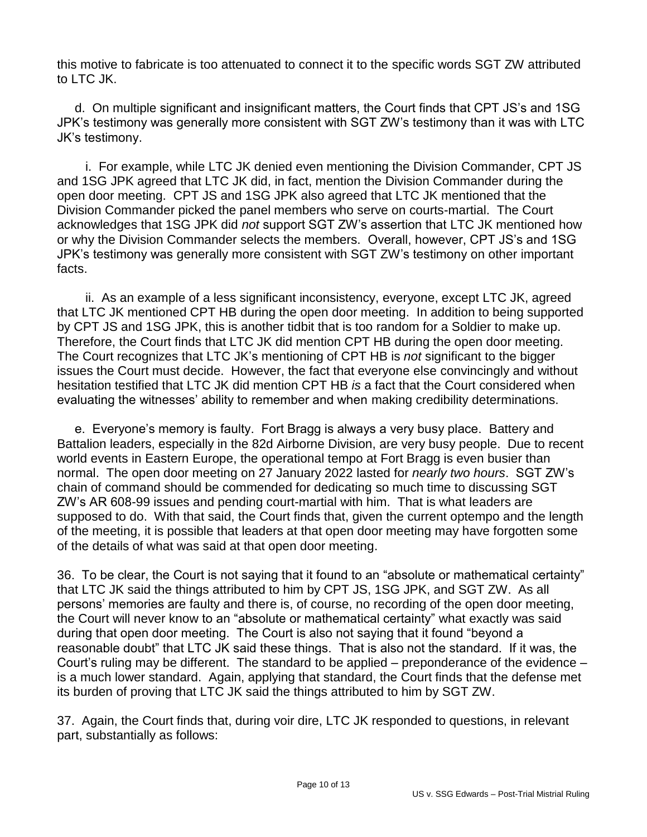this motive to fabricate is too attenuated to connect it to the specific words SGT ZW attributed to LTC JK.

 d. On multiple significant and insignificant matters, the Court finds that CPT JS's and 1SG JPK's testimony was generally more consistent with SGT ZW's testimony than it was with LTC JK's testimony.

 i. For example, while LTC JK denied even mentioning the Division Commander, CPT JS and 1SG JPK agreed that LTC JK did, in fact, mention the Division Commander during the open door meeting. CPT JS and 1SG JPK also agreed that LTC JK mentioned that the Division Commander picked the panel members who serve on courts-martial. The Court acknowledges that 1SG JPK did *not* support SGT ZW's assertion that LTC JK mentioned how or why the Division Commander selects the members. Overall, however, CPT JS's and 1SG JPK's testimony was generally more consistent with SGT ZW's testimony on other important facts.

 ii. As an example of a less significant inconsistency, everyone, except LTC JK, agreed that LTC JK mentioned CPT HB during the open door meeting. In addition to being supported by CPT JS and 1SG JPK, this is another tidbit that is too random for a Soldier to make up. Therefore, the Court finds that LTC JK did mention CPT HB during the open door meeting. The Court recognizes that LTC JK's mentioning of CPT HB is *not* significant to the bigger issues the Court must decide. However, the fact that everyone else convincingly and without hesitation testified that LTC JK did mention CPT HB *is* a fact that the Court considered when evaluating the witnesses' ability to remember and when making credibility determinations.

 e. Everyone's memory is faulty. Fort Bragg is always a very busy place. Battery and Battalion leaders, especially in the 82d Airborne Division, are very busy people. Due to recent world events in Eastern Europe, the operational tempo at Fort Bragg is even busier than normal. The open door meeting on 27 January 2022 lasted for *nearly two hours*. SGT ZW's chain of command should be commended for dedicating so much time to discussing SGT ZW's AR 608-99 issues and pending court-martial with him. That is what leaders are supposed to do. With that said, the Court finds that, given the current optempo and the length of the meeting, it is possible that leaders at that open door meeting may have forgotten some of the details of what was said at that open door meeting.

36. To be clear, the Court is not saying that it found to an "absolute or mathematical certainty" that LTC JK said the things attributed to him by CPT JS, 1SG JPK, and SGT ZW. As all persons' memories are faulty and there is, of course, no recording of the open door meeting, the Court will never know to an "absolute or mathematical certainty" what exactly was said during that open door meeting. The Court is also not saying that it found "beyond a reasonable doubt" that LTC JK said these things. That is also not the standard. If it was, the Court's ruling may be different. The standard to be applied – preponderance of the evidence – is a much lower standard. Again, applying that standard, the Court finds that the defense met its burden of proving that LTC JK said the things attributed to him by SGT ZW.

37. Again, the Court finds that, during voir dire, LTC JK responded to questions, in relevant part, substantially as follows: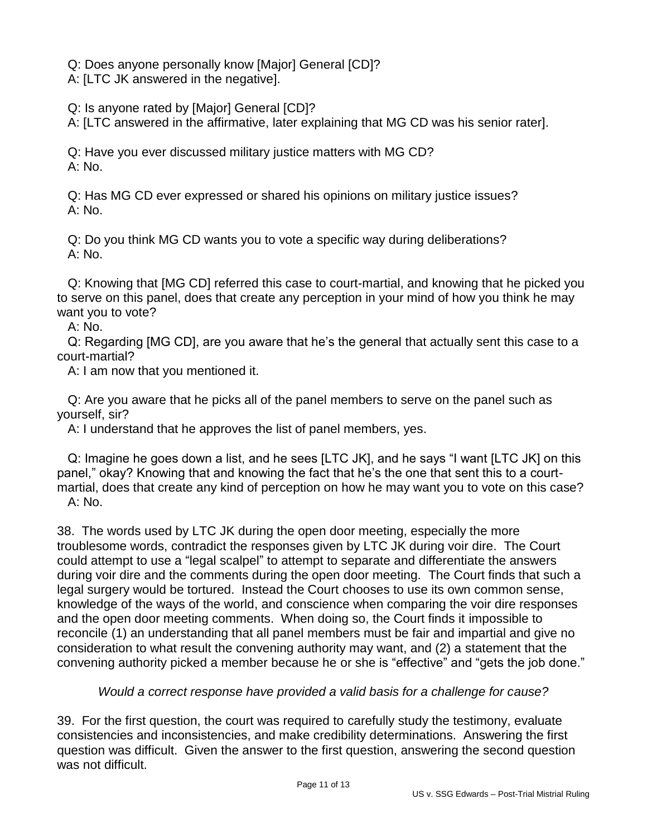Q: Does anyone personally know [Major] General [CD]?

A: [LTC JK answered in the negative].

Q: Is anyone rated by [Major] General [CD]?

A: [LTC answered in the affirmative, later explaining that MG CD was his senior rater].

 Q: Have you ever discussed military justice matters with MG CD? A: No.

 Q: Has MG CD ever expressed or shared his opinions on military justice issues? A: No.

 Q: Do you think MG CD wants you to vote a specific way during deliberations? A: No.

 Q: Knowing that [MG CD] referred this case to court-martial, and knowing that he picked you to serve on this panel, does that create any perception in your mind of how you think he may want you to vote?

A: No.

 Q: Regarding [MG CD], are you aware that he's the general that actually sent this case to a court-martial?

A: I am now that you mentioned it.

 Q: Are you aware that he picks all of the panel members to serve on the panel such as yourself, sir?

A: I understand that he approves the list of panel members, yes.

 Q: Imagine he goes down a list, and he sees [LTC JK], and he says "I want [LTC JK] on this panel," okay? Knowing that and knowing the fact that he's the one that sent this to a courtmartial, does that create any kind of perception on how he may want you to vote on this case? A: No.

38. The words used by LTC JK during the open door meeting, especially the more troublesome words, contradict the responses given by LTC JK during voir dire. The Court could attempt to use a "legal scalpel" to attempt to separate and differentiate the answers during voir dire and the comments during the open door meeting. The Court finds that such a legal surgery would be tortured. Instead the Court chooses to use its own common sense, knowledge of the ways of the world, and conscience when comparing the voir dire responses and the open door meeting comments. When doing so, the Court finds it impossible to reconcile (1) an understanding that all panel members must be fair and impartial and give no consideration to what result the convening authority may want, and (2) a statement that the convening authority picked a member because he or she is "effective" and "gets the job done."

## *Would a correct response have provided a valid basis for a challenge for cause?*

39. For the first question, the court was required to carefully study the testimony, evaluate consistencies and inconsistencies, and make credibility determinations. Answering the first question was difficult. Given the answer to the first question, answering the second question was not difficult.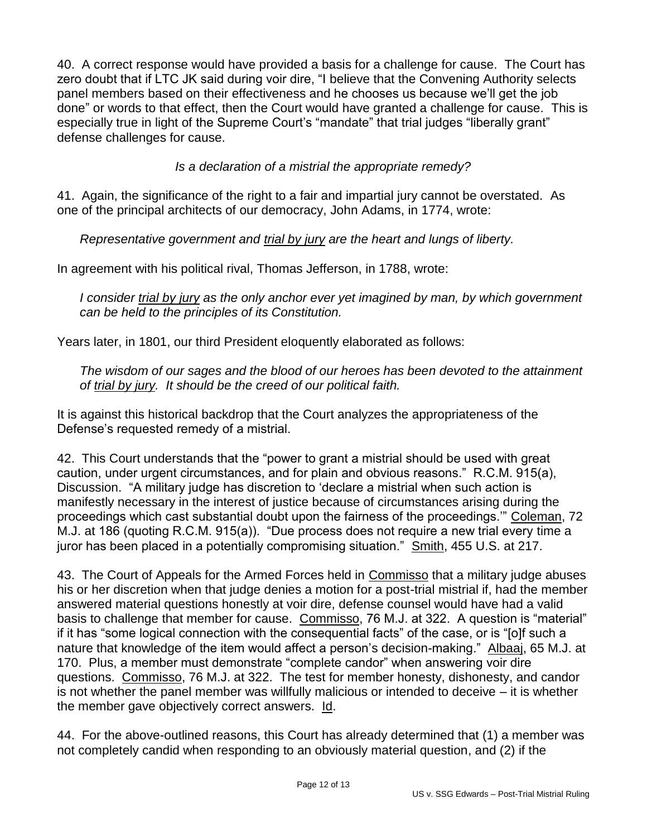40. A correct response would have provided a basis for a challenge for cause. The Court has zero doubt that if LTC JK said during voir dire, "I believe that the Convening Authority selects panel members based on their effectiveness and he chooses us because we'll get the job done" or words to that effect, then the Court would have granted a challenge for cause. This is especially true in light of the Supreme Court's "mandate" that trial judges "liberally grant" defense challenges for cause.

*Is a declaration of a mistrial the appropriate remedy?*

41. Again, the significance of the right to a fair and impartial jury cannot be overstated. As one of the principal architects of our democracy, John Adams, in 1774, wrote:

*Representative government and trial by jury are the heart and lungs of liberty.*

In agreement with his political rival, Thomas Jefferson, in 1788, wrote:

*I consider trial by jury as the only anchor ever yet imagined by man, by which government can be held to the principles of its Constitution.* 

Years later, in 1801, our third President eloquently elaborated as follows:

*The wisdom of our sages and the blood of our heroes has been devoted to the attainment of trial by jury. It should be the creed of our political faith.*

It is against this historical backdrop that the Court analyzes the appropriateness of the Defense's requested remedy of a mistrial.

42. This Court understands that the "power to grant a mistrial should be used with great caution, under urgent circumstances, and for plain and obvious reasons." R.C.M. 915(a), Discussion. "A military judge has discretion to 'declare a mistrial when such action is manifestly necessary in the interest of justice because of circumstances arising during the proceedings which cast substantial doubt upon the fairness of the proceedings.'" Coleman, 72 M.J. at 186 (quoting R.C.M. 915(a)). "Due process does not require a new trial every time a juror has been placed in a potentially compromising situation." Smith, 455 U.S. at 217.

43. The Court of Appeals for the Armed Forces held in Commisso that a military judge abuses his or her discretion when that judge denies a motion for a post-trial mistrial if, had the member answered material questions honestly at voir dire, defense counsel would have had a valid basis to challenge that member for cause. Commisso, 76 M.J. at 322. A question is "material" if it has "some logical connection with the consequential facts" of the case, or is "[o]f such a nature that knowledge of the item would affect a person's decision-making." Albaaj, 65 M.J. at 170. Plus, a member must demonstrate "complete candor" when answering voir dire questions. Commisso, 76 M.J. at 322. The test for member honesty, dishonesty, and candor is not whether the panel member was willfully malicious or intended to deceive – it is whether the member gave objectively correct answers. Id.

44. For the above-outlined reasons, this Court has already determined that (1) a member was not completely candid when responding to an obviously material question, and (2) if the